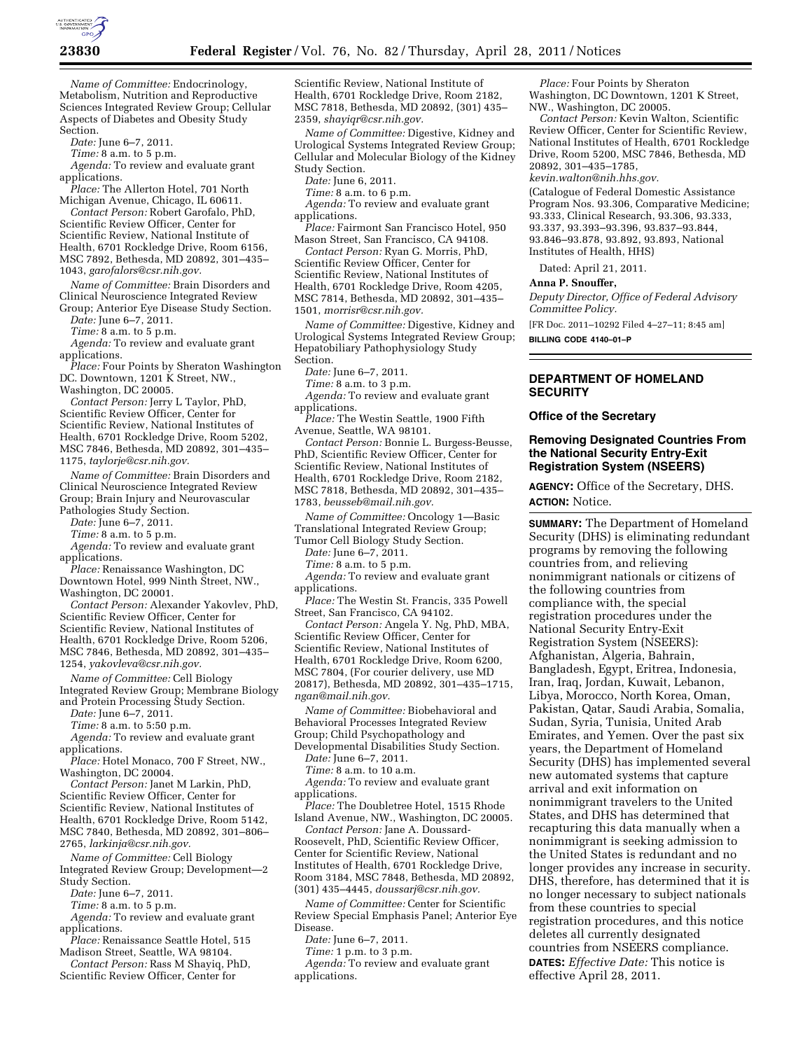

*Name of Committee:* Endocrinology, Metabolism, Nutrition and Reproductive Sciences Integrated Review Group; Cellular Aspects of Diabetes and Obesity Study Section.

*Date:* June 6–7, 2011.

*Time:* 8 a.m. to 5 p.m.

*Agenda:* To review and evaluate grant applications.

*Place:* The Allerton Hotel, 701 North Michigan Avenue, Chicago, IL 60611.

*Contact Person:* Robert Garofalo, PhD, Scientific Review Officer, Center for Scientific Review, National Institute of Health, 6701 Rockledge Drive, Room 6156, MSC 7892, Bethesda, MD 20892, 301–435– 1043, *[garofalors@csr.nih.gov.](mailto:garofalors@csr.nih.gov)* 

*Name of Committee:* Brain Disorders and Clinical Neuroscience Integrated Review Group; Anterior Eye Disease Study Section.

*Date:* June 6–7, 2011.

*Time:* 8 a.m. to 5 p.m.

*Agenda:* To review and evaluate grant applications.

*Place:* Four Points by Sheraton Washington DC. Downtown, 1201 K Street, NW., Washington, DC 20005.

*Contact Person:* Jerry L Taylor, PhD, Scientific Review Officer, Center for Scientific Review, National Institutes of Health, 6701 Rockledge Drive, Room 5202, MSC 7846, Bethesda, MD 20892, 301–435– 1175, *[taylorje@csr.nih.gov.](mailto:taylorje@csr.nih.gov)* 

*Name of Committee:* Brain Disorders and Clinical Neuroscience Integrated Review Group; Brain Injury and Neurovascular Pathologies Study Section.

*Date:* June 6–7, 2011.

*Time:* 8 a.m. to 5 p.m.

*Agenda:* To review and evaluate grant applications.

*Place:* Renaissance Washington, DC Downtown Hotel, 999 Ninth Street, NW., Washington, DC 20001.

*Contact Person:* Alexander Yakovlev, PhD, Scientific Review Officer, Center for Scientific Review, National Institutes of Health, 6701 Rockledge Drive, Room 5206, MSC 7846, Bethesda, MD 20892, 301–435– 1254, *[yakovleva@csr.nih.gov.](mailto:yakovleva@csr.nih.gov)* 

*Name of Committee:* Cell Biology Integrated Review Group; Membrane Biology and Protein Processing Study Section.

*Date:* June 6–7, 2011.

*Time:* 8 a.m. to 5:50 p.m.

*Agenda:* To review and evaluate grant applications.

*Place:* Hotel Monaco, 700 F Street, NW., Washington, DC 20004.

*Contact Person:* Janet M Larkin, PhD, Scientific Review Officer, Center for Scientific Review, National Institutes of Health, 6701 Rockledge Drive, Room 5142, MSC 7840, Bethesda, MD 20892, 301–806–

2765, *[larkinja@csr.nih.gov.](mailto:larkinja@csr.nih.gov)* 

*Name of Committee:* Cell Biology Integrated Review Group; Development—2 Study Section.

*Date:* June 6–7, 2011.

*Time:* 8 a.m. to 5 p.m.

*Agenda:* To review and evaluate grant

applications. *Place:* Renaissance Seattle Hotel, 515

Madison Street, Seattle, WA 98104. *Contact Person:* Rass M Shayiq, PhD,

Scientific Review Officer, Center for

Scientific Review, National Institute of Health, 6701 Rockledge Drive, Room 2182, MSC 7818, Bethesda, MD 20892, (301) 435– 2359, *[shayiqr@csr.nih.gov.](mailto:shayiqr@csr.nih.gov)* 

*Name of Committee:* Digestive, Kidney and Urological Systems Integrated Review Group; Cellular and Molecular Biology of the Kidney Study Section.

*Date:* June 6, 2011.

*Time:* 8 a.m. to 6 p.m.

*Agenda:* To review and evaluate grant applications.

*Place:* Fairmont San Francisco Hotel, 950 Mason Street, San Francisco, CA 94108.

*Contact Person:* Ryan G. Morris, PhD,

Scientific Review Officer, Center for Scientific Review, National Institutes of Health, 6701 Rockledge Drive, Room 4205, MSC 7814, Bethesda, MD 20892, 301–435– 1501, *[morrisr@csr.nih.gov.](mailto:morrisr@csr.nih.gov)* 

*Name of Committee:* Digestive, Kidney and Urological Systems Integrated Review Group; Hepatobiliary Pathophysiology Study Section.

*Date:* June 6–7, 2011.

*Time:* 8 a.m. to 3 p.m.

*Agenda:* To review and evaluate grant applications.

*Place:* The Westin Seattle, 1900 Fifth Avenue, Seattle, WA 98101.

*Contact Person:* Bonnie L. Burgess-Beusse, PhD, Scientific Review Officer, Center for Scientific Review, National Institutes of Health, 6701 Rockledge Drive, Room 2182, MSC 7818, Bethesda, MD 20892, 301–435– 1783, *[beusseb@mail.nih.gov.](mailto:beusseb@mail.nih.gov)* 

*Name of Committee:* Oncology 1—Basic Translational Integrated Review Group;

Tumor Cell Biology Study Section.

*Date:* June 6–7, 2011. *Time:* 8 a.m. to 5 p.m.

*Agenda:* To review and evaluate grant applications.

*Place:* The Westin St. Francis, 335 Powell Street, San Francisco, CA 94102.

*Contact Person:* Angela Y. Ng, PhD, MBA, Scientific Review Officer, Center for Scientific Review, National Institutes of Health, 6701 Rockledge Drive, Room 6200, MSC 7804, (For courier delivery, use MD 20817), Bethesda, MD 20892, 301–435–1715, *[ngan@mail.nih.gov.](mailto:ngan@mail.nih.gov)* 

*Name of Committee:* Biobehavioral and Behavioral Processes Integrated Review Group; Child Psychopathology and Developmental Disabilities Study Section.

*Date:* June 6–7, 2011.

*Time:* 8 a.m. to 10 a.m.

*Agenda:* To review and evaluate grant applications.

*Place:* The Doubletree Hotel, 1515 Rhode Island Avenue, NW., Washington, DC 20005.

*Contact Person:* Jane A. Doussard-Roosevelt, PhD, Scientific Review Officer, Center for Scientific Review, National Institutes of Health, 6701 Rockledge Drive, Room 3184, MSC 7848, Bethesda, MD 20892, (301) 435–4445, *[doussarj@csr.nih.gov.](mailto:doussarj@csr.nih.gov)* 

*Name of Committee:* Center for Scientific Review Special Emphasis Panel; Anterior Eye Disease.

*Date:* June 6–7, 2011.

*Time:* 1 p.m. to 3 p.m.

*Agenda:* To review and evaluate grant applications.

*Place:* Four Points by Sheraton Washington, DC Downtown, 1201 K Street, NW., Washington, DC 20005.

*Contact Person:* Kevin Walton, Scientific Review Officer, Center for Scientific Review, National Institutes of Health, 6701 Rockledge Drive, Room 5200, MSC 7846, Bethesda, MD 20892, 301–435–1785,

*[kevin.walton@nih.hhs.gov.](mailto:kevin.walton@nih.hhs.gov)* 

(Catalogue of Federal Domestic Assistance Program Nos. 93.306, Comparative Medicine; 93.333, Clinical Research, 93.306, 93.333, 93.337, 93.393–93.396, 93.837–93.844, 93.846–93.878, 93.892, 93.893, National Institutes of Health, HHS)

Dated: April 21, 2011.

### **Anna P. Snouffer,**

*Deputy Director, Office of Federal Advisory Committee Policy.* 

[FR Doc. 2011–10292 Filed 4–27–11; 8:45 am] **BILLING CODE 4140–01–P** 

## **DEPARTMENT OF HOMELAND SECURITY**

**Office of the Secretary** 

### **Removing Designated Countries From the National Security Entry-Exit Registration System (NSEERS)**

**AGENCY:** Office of the Secretary, DHS. **ACTION:** Notice.

**SUMMARY:** The Department of Homeland Security (DHS) is eliminating redundant programs by removing the following countries from, and relieving nonimmigrant nationals or citizens of the following countries from compliance with, the special registration procedures under the National Security Entry-Exit Registration System (NSEERS): Afghanistan, Algeria, Bahrain, Bangladesh, Egypt, Eritrea, Indonesia, Iran, Iraq, Jordan, Kuwait, Lebanon, Libya, Morocco, North Korea, Oman, Pakistan, Qatar, Saudi Arabia, Somalia, Sudan, Syria, Tunisia, United Arab Emirates, and Yemen. Over the past six years, the Department of Homeland Security (DHS) has implemented several new automated systems that capture arrival and exit information on nonimmigrant travelers to the United States, and DHS has determined that recapturing this data manually when a nonimmigrant is seeking admission to the United States is redundant and no longer provides any increase in security. DHS, therefore, has determined that it is no longer necessary to subject nationals from these countries to special registration procedures, and this notice deletes all currently designated countries from NSEERS compliance. **DATES:** *Effective Date:* This notice is effective April 28, 2011.